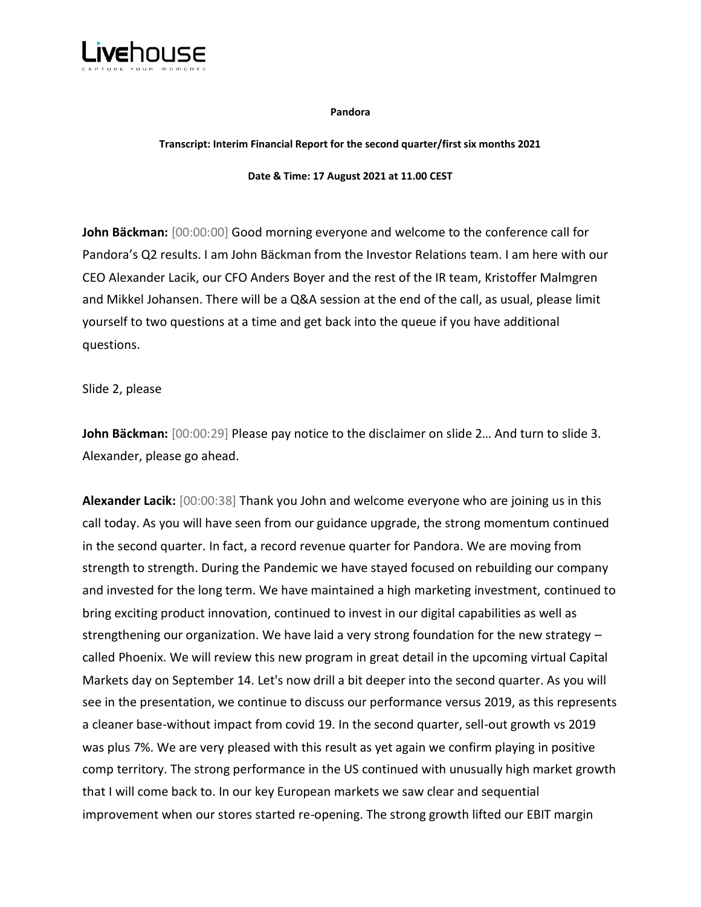

**Pandora**

#### **Transcript: Interim Financial Report for the second quarter/first six months 2021**

**Date & Time: 17 August 2021 at 11.00 CEST**

**John Bäckman:** [00:00:00] Good morning everyone and welcome to the conference call for Pandora's Q2 results. I am John Bäckman from the Investor Relations team. I am here with our CEO Alexander Lacik, our CFO Anders Boyer and the rest of the IR team, Kristoffer Malmgren and Mikkel Johansen. There will be a Q&A session at the end of the call, as usual, please limit yourself to two questions at a time and get back into the queue if you have additional questions.

Slide 2, please

**John Bäckman:** [00:00:29] Please pay notice to the disclaimer on slide 2… And turn to slide 3. Alexander, please go ahead.

**Alexander Lacik:** [00:00:38] Thank you John and welcome everyone who are joining us in this call today. As you will have seen from our guidance upgrade, the strong momentum continued in the second quarter. In fact, a record revenue quarter for Pandora. We are moving from strength to strength. During the Pandemic we have stayed focused on rebuilding our company and invested for the long term. We have maintained a high marketing investment, continued to bring exciting product innovation, continued to invest in our digital capabilities as well as strengthening our organization. We have laid a very strong foundation for the new strategy – called Phoenix. We will review this new program in great detail in the upcoming virtual Capital Markets day on September 14. Let's now drill a bit deeper into the second quarter. As you will see in the presentation, we continue to discuss our performance versus 2019, as this represents a cleaner base-without impact from covid 19. In the second quarter, sell-out growth vs 2019 was plus 7%. We are very pleased with this result as yet again we confirm playing in positive comp territory. The strong performance in the US continued with unusually high market growth that I will come back to. In our key European markets we saw clear and sequential improvement when our stores started re-opening. The strong growth lifted our EBIT margin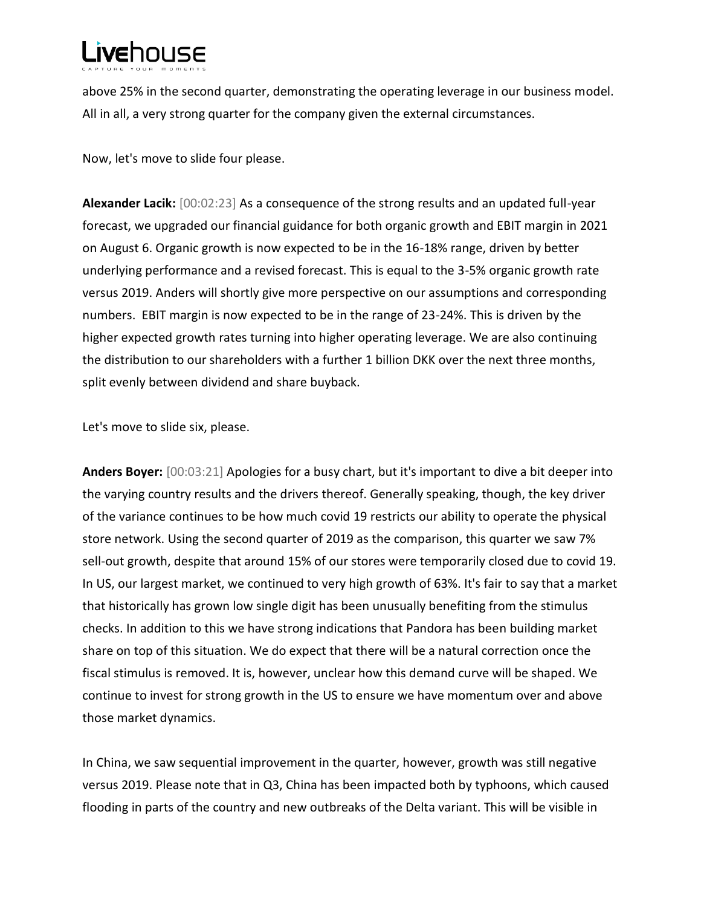above 25% in the second quarter, demonstrating the operating leverage in our business model. All in all, a very strong quarter for the company given the external circumstances.

Now, let's move to slide four please.

**Alexander Lacik:** [00:02:23] As a consequence of the strong results and an updated full-year forecast, we upgraded our financial guidance for both organic growth and EBIT margin in 2021 on August 6. Organic growth is now expected to be in the 16-18% range, driven by better underlying performance and a revised forecast. This is equal to the 3-5% organic growth rate versus 2019. Anders will shortly give more perspective on our assumptions and corresponding numbers. EBIT margin is now expected to be in the range of 23-24%. This is driven by the higher expected growth rates turning into higher operating leverage. We are also continuing the distribution to our shareholders with a further 1 billion DKK over the next three months, split evenly between dividend and share buyback.

Let's move to slide six, please.

**Anders Boyer:** [00:03:21] Apologies for a busy chart, but it's important to dive a bit deeper into the varying country results and the drivers thereof. Generally speaking, though, the key driver of the variance continues to be how much covid 19 restricts our ability to operate the physical store network. Using the second quarter of 2019 as the comparison, this quarter we saw 7% sell-out growth, despite that around 15% of our stores were temporarily closed due to covid 19. In US, our largest market, we continued to very high growth of 63%. It's fair to say that a market that historically has grown low single digit has been unusually benefiting from the stimulus checks. In addition to this we have strong indications that Pandora has been building market share on top of this situation. We do expect that there will be a natural correction once the fiscal stimulus is removed. It is, however, unclear how this demand curve will be shaped. We continue to invest for strong growth in the US to ensure we have momentum over and above those market dynamics.

In China, we saw sequential improvement in the quarter, however, growth was still negative versus 2019. Please note that in Q3, China has been impacted both by typhoons, which caused flooding in parts of the country and new outbreaks of the Delta variant. This will be visible in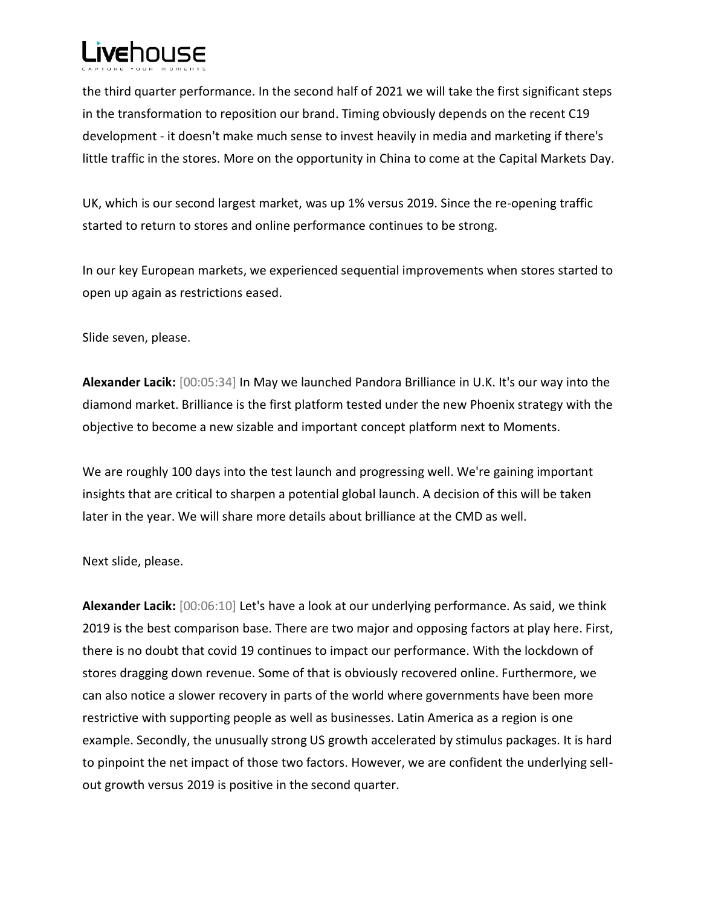the third quarter performance. In the second half of 2021 we will take the first significant steps in the transformation to reposition our brand. Timing obviously depends on the recent C19 development - it doesn't make much sense to invest heavily in media and marketing if there's little traffic in the stores. More on the opportunity in China to come at the Capital Markets Day.

UK, which is our second largest market, was up 1% versus 2019. Since the re-opening traffic started to return to stores and online performance continues to be strong.

In our key European markets, we experienced sequential improvements when stores started to open up again as restrictions eased.

Slide seven, please.

**Alexander Lacik:** [00:05:34] In May we launched Pandora Brilliance in U.K. It's our way into the diamond market. Brilliance is the first platform tested under the new Phoenix strategy with the objective to become a new sizable and important concept platform next to Moments.

We are roughly 100 days into the test launch and progressing well. We're gaining important insights that are critical to sharpen a potential global launch. A decision of this will be taken later in the year. We will share more details about brilliance at the CMD as well.

Next slide, please.

**Alexander Lacik:** [00:06:10] Let's have a look at our underlying performance. As said, we think 2019 is the best comparison base. There are two major and opposing factors at play here. First, there is no doubt that covid 19 continues to impact our performance. With the lockdown of stores dragging down revenue. Some of that is obviously recovered online. Furthermore, we can also notice a slower recovery in parts of the world where governments have been more restrictive with supporting people as well as businesses. Latin America as a region is one example. Secondly, the unusually strong US growth accelerated by stimulus packages. It is hard to pinpoint the net impact of those two factors. However, we are confident the underlying sellout growth versus 2019 is positive in the second quarter.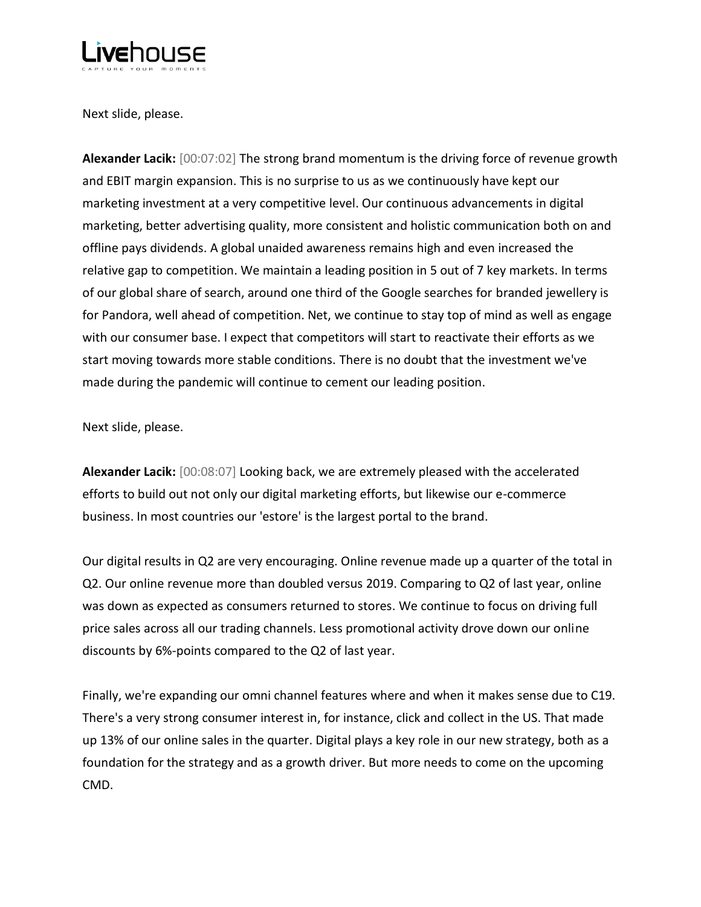

Next slide, please.

**Alexander Lacik:** [00:07:02] The strong brand momentum is the driving force of revenue growth and EBIT margin expansion. This is no surprise to us as we continuously have kept our marketing investment at a very competitive level. Our continuous advancements in digital marketing, better advertising quality, more consistent and holistic communication both on and offline pays dividends. A global unaided awareness remains high and even increased the relative gap to competition. We maintain a leading position in 5 out of 7 key markets. In terms of our global share of search, around one third of the Google searches for branded jewellery is for Pandora, well ahead of competition. Net, we continue to stay top of mind as well as engage with our consumer base. I expect that competitors will start to reactivate their efforts as we start moving towards more stable conditions. There is no doubt that the investment we've made during the pandemic will continue to cement our leading position.

Next slide, please.

**Alexander Lacik:** [00:08:07] Looking back, we are extremely pleased with the accelerated efforts to build out not only our digital marketing efforts, but likewise our e-commerce business. In most countries our 'estore' is the largest portal to the brand.

Our digital results in Q2 are very encouraging. Online revenue made up a quarter of the total in Q2. Our online revenue more than doubled versus 2019. Comparing to Q2 of last year, online was down as expected as consumers returned to stores. We continue to focus on driving full price sales across all our trading channels. Less promotional activity drove down our online discounts by 6%-points compared to the Q2 of last year.

Finally, we're expanding our omni channel features where and when it makes sense due to C19. There's a very strong consumer interest in, for instance, click and collect in the US. That made up 13% of our online sales in the quarter. Digital plays a key role in our new strategy, both as a foundation for the strategy and as a growth driver. But more needs to come on the upcoming CMD.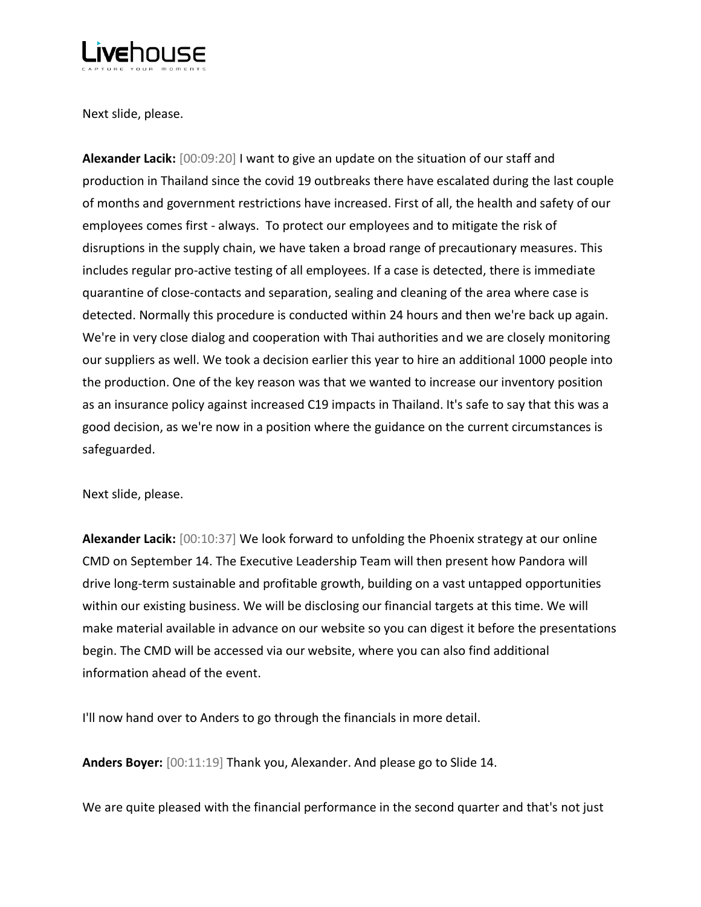

Next slide, please.

**Alexander Lacik:** [00:09:20] I want to give an update on the situation of our staff and production in Thailand since the covid 19 outbreaks there have escalated during the last couple of months and government restrictions have increased. First of all, the health and safety of our employees comes first - always. To protect our employees and to mitigate the risk of disruptions in the supply chain, we have taken a broad range of precautionary measures. This includes regular pro-active testing of all employees. If a case is detected, there is immediate quarantine of close-contacts and separation, sealing and cleaning of the area where case is detected. Normally this procedure is conducted within 24 hours and then we're back up again. We're in very close dialog and cooperation with Thai authorities and we are closely monitoring our suppliers as well. We took a decision earlier this year to hire an additional 1000 people into the production. One of the key reason was that we wanted to increase our inventory position as an insurance policy against increased C19 impacts in Thailand. It's safe to say that this was a good decision, as we're now in a position where the guidance on the current circumstances is safeguarded.

Next slide, please.

**Alexander Lacik:** [00:10:37] We look forward to unfolding the Phoenix strategy at our online CMD on September 14. The Executive Leadership Team will then present how Pandora will drive long-term sustainable and profitable growth, building on a vast untapped opportunities within our existing business. We will be disclosing our financial targets at this time. We will make material available in advance on our website so you can digest it before the presentations begin. The CMD will be accessed via our website, where you can also find additional information ahead of the event.

I'll now hand over to Anders to go through the financials in more detail.

**Anders Boyer:** [00:11:19] Thank you, Alexander. And please go to Slide 14.

We are quite pleased with the financial performance in the second quarter and that's not just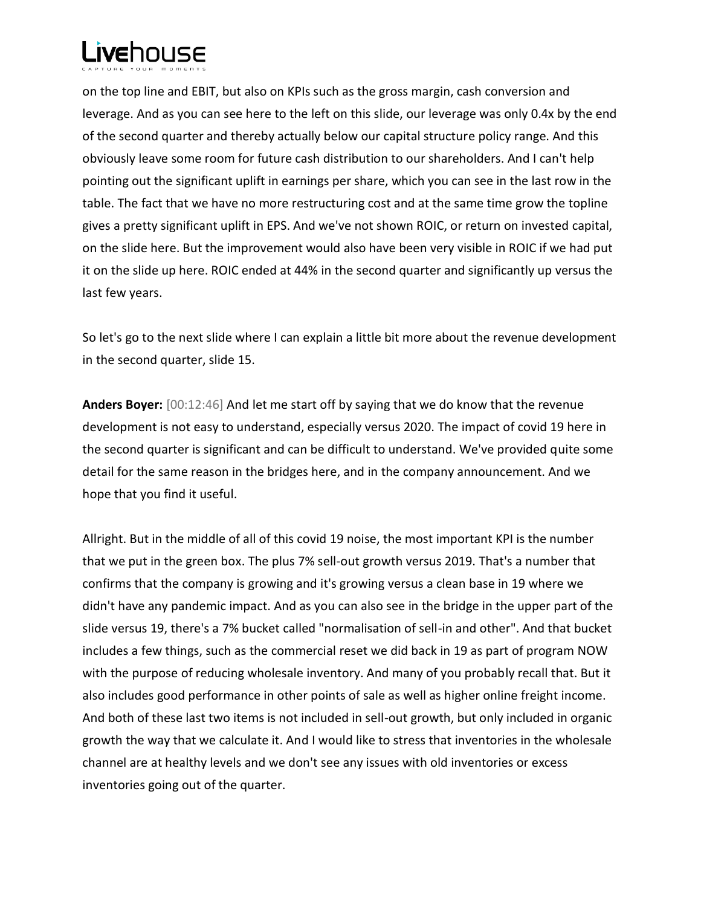

on the top line and EBIT, but also on KPIs such as the gross margin, cash conversion and leverage. And as you can see here to the left on this slide, our leverage was only 0.4x by the end of the second quarter and thereby actually below our capital structure policy range. And this obviously leave some room for future cash distribution to our shareholders. And I can't help pointing out the significant uplift in earnings per share, which you can see in the last row in the table. The fact that we have no more restructuring cost and at the same time grow the topline gives a pretty significant uplift in EPS. And we've not shown ROIC, or return on invested capital, on the slide here. But the improvement would also have been very visible in ROIC if we had put it on the slide up here. ROIC ended at 44% in the second quarter and significantly up versus the last few years.

So let's go to the next slide where I can explain a little bit more about the revenue development in the second quarter, slide 15.

**Anders Boyer:** [00:12:46] And let me start off by saying that we do know that the revenue development is not easy to understand, especially versus 2020. The impact of covid 19 here in the second quarter is significant and can be difficult to understand. We've provided quite some detail for the same reason in the bridges here, and in the company announcement. And we hope that you find it useful.

Allright. But in the middle of all of this covid 19 noise, the most important KPI is the number that we put in the green box. The plus 7% sell-out growth versus 2019. That's a number that confirms that the company is growing and it's growing versus a clean base in 19 where we didn't have any pandemic impact. And as you can also see in the bridge in the upper part of the slide versus 19, there's a 7% bucket called "normalisation of sell-in and other". And that bucket includes a few things, such as the commercial reset we did back in 19 as part of program NOW with the purpose of reducing wholesale inventory. And many of you probably recall that. But it also includes good performance in other points of sale as well as higher online freight income. And both of these last two items is not included in sell-out growth, but only included in organic growth the way that we calculate it. And I would like to stress that inventories in the wholesale channel are at healthy levels and we don't see any issues with old inventories or excess inventories going out of the quarter.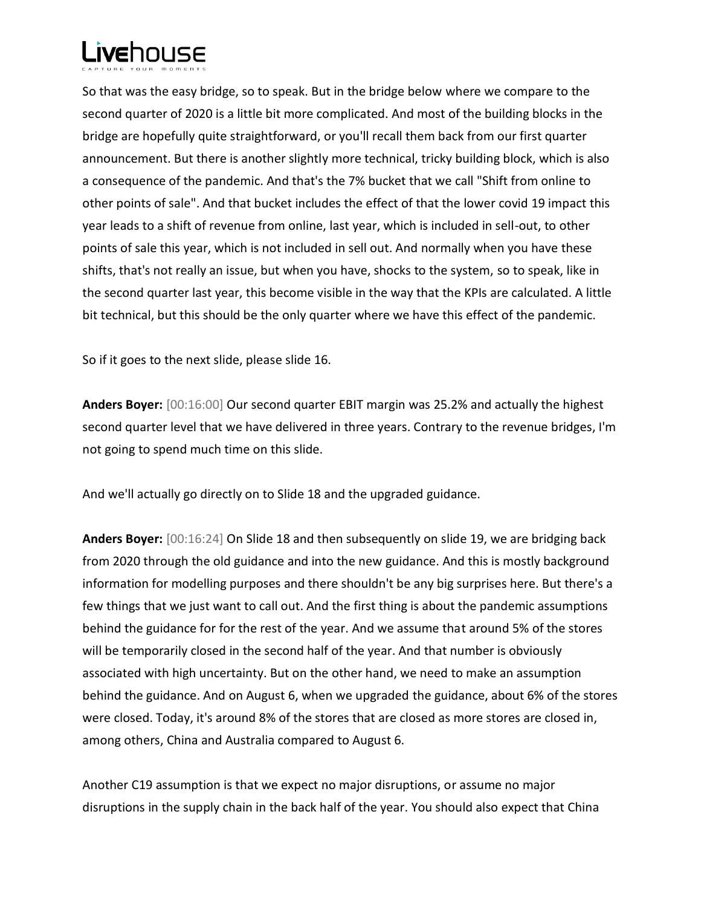

So that was the easy bridge, so to speak. But in the bridge below where we compare to the second quarter of 2020 is a little bit more complicated. And most of the building blocks in the bridge are hopefully quite straightforward, or you'll recall them back from our first quarter announcement. But there is another slightly more technical, tricky building block, which is also a consequence of the pandemic. And that's the 7% bucket that we call "Shift from online to other points of sale". And that bucket includes the effect of that the lower covid 19 impact this year leads to a shift of revenue from online, last year, which is included in sell-out, to other points of sale this year, which is not included in sell out. And normally when you have these shifts, that's not really an issue, but when you have, shocks to the system, so to speak, like in the second quarter last year, this become visible in the way that the KPIs are calculated. A little bit technical, but this should be the only quarter where we have this effect of the pandemic.

So if it goes to the next slide, please slide 16.

**Anders Boyer:** [00:16:00] Our second quarter EBIT margin was 25.2% and actually the highest second quarter level that we have delivered in three years. Contrary to the revenue bridges, I'm not going to spend much time on this slide.

And we'll actually go directly on to Slide 18 and the upgraded guidance.

**Anders Boyer:** [00:16:24] On Slide 18 and then subsequently on slide 19, we are bridging back from 2020 through the old guidance and into the new guidance. And this is mostly background information for modelling purposes and there shouldn't be any big surprises here. But there's a few things that we just want to call out. And the first thing is about the pandemic assumptions behind the guidance for for the rest of the year. And we assume that around 5% of the stores will be temporarily closed in the second half of the year. And that number is obviously associated with high uncertainty. But on the other hand, we need to make an assumption behind the guidance. And on August 6, when we upgraded the guidance, about 6% of the stores were closed. Today, it's around 8% of the stores that are closed as more stores are closed in, among others, China and Australia compared to August 6.

Another C19 assumption is that we expect no major disruptions, or assume no major disruptions in the supply chain in the back half of the year. You should also expect that China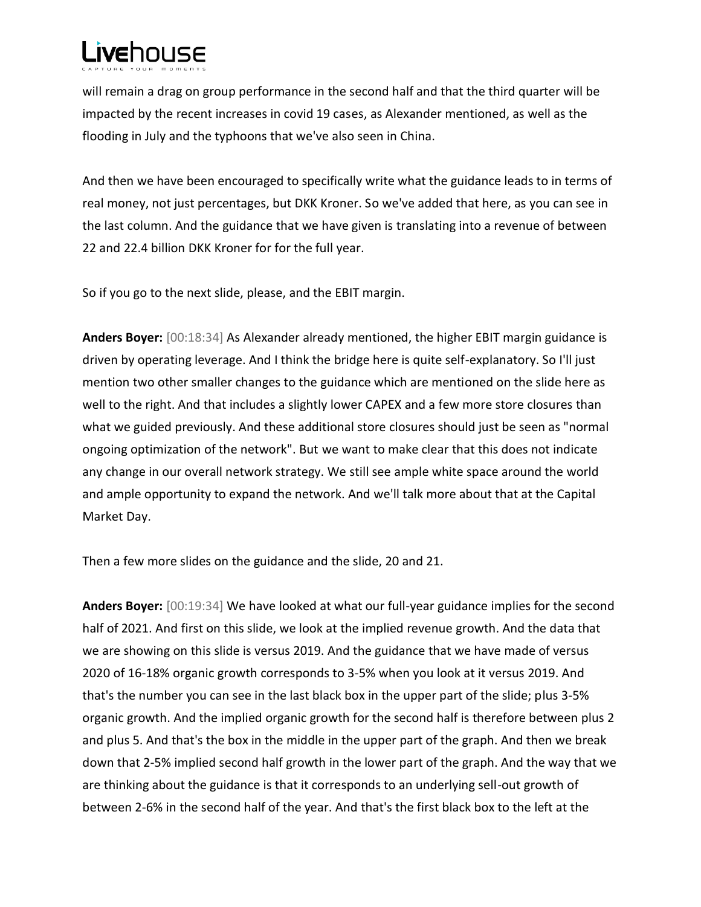will remain a drag on group performance in the second half and that the third quarter will be impacted by the recent increases in covid 19 cases, as Alexander mentioned, as well as the flooding in July and the typhoons that we've also seen in China.

And then we have been encouraged to specifically write what the guidance leads to in terms of real money, not just percentages, but DKK Kroner. So we've added that here, as you can see in the last column. And the guidance that we have given is translating into a revenue of between 22 and 22.4 billion DKK Kroner for for the full year.

So if you go to the next slide, please, and the EBIT margin.

**Anders Boyer:** [00:18:34] As Alexander already mentioned, the higher EBIT margin guidance is driven by operating leverage. And I think the bridge here is quite self-explanatory. So I'll just mention two other smaller changes to the guidance which are mentioned on the slide here as well to the right. And that includes a slightly lower CAPEX and a few more store closures than what we guided previously. And these additional store closures should just be seen as "normal ongoing optimization of the network". But we want to make clear that this does not indicate any change in our overall network strategy. We still see ample white space around the world and ample opportunity to expand the network. And we'll talk more about that at the Capital Market Day.

Then a few more slides on the guidance and the slide, 20 and 21.

**Anders Boyer:** [00:19:34] We have looked at what our full-year guidance implies for the second half of 2021. And first on this slide, we look at the implied revenue growth. And the data that we are showing on this slide is versus 2019. And the guidance that we have made of versus 2020 of 16-18% organic growth corresponds to 3-5% when you look at it versus 2019. And that's the number you can see in the last black box in the upper part of the slide; plus 3-5% organic growth. And the implied organic growth for the second half is therefore between plus 2 and plus 5. And that's the box in the middle in the upper part of the graph. And then we break down that 2-5% implied second half growth in the lower part of the graph. And the way that we are thinking about the guidance is that it corresponds to an underlying sell-out growth of between 2-6% in the second half of the year. And that's the first black box to the left at the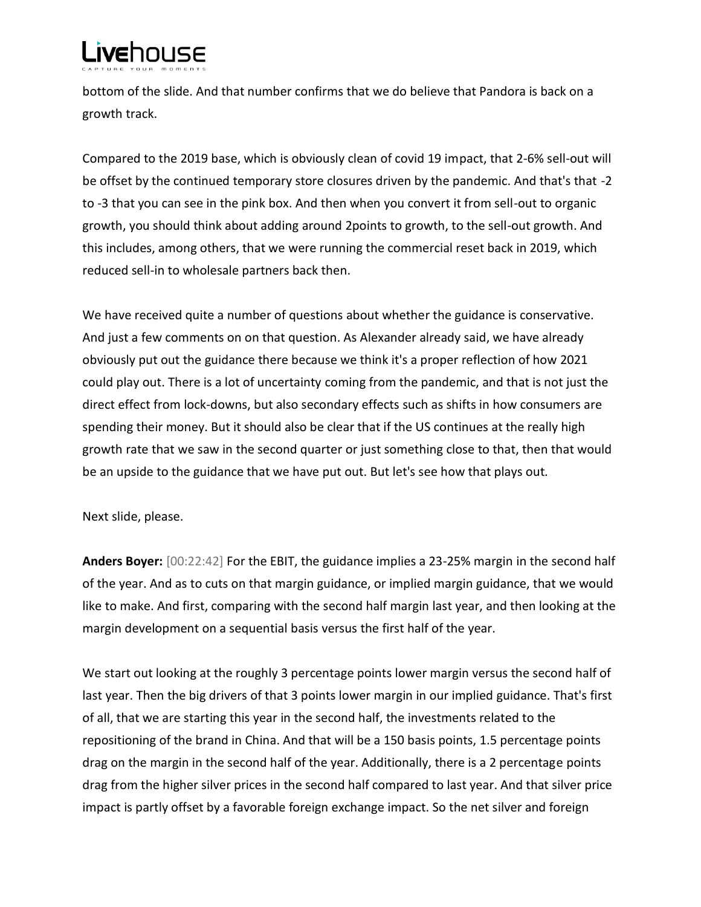bottom of the slide. And that number confirms that we do believe that Pandora is back on a growth track.

Compared to the 2019 base, which is obviously clean of covid 19 impact, that 2-6% sell-out will be offset by the continued temporary store closures driven by the pandemic. And that's that -2 to -3 that you can see in the pink box. And then when you convert it from sell-out to organic growth, you should think about adding around 2points to growth, to the sell-out growth. And this includes, among others, that we were running the commercial reset back in 2019, which reduced sell-in to wholesale partners back then.

We have received quite a number of questions about whether the guidance is conservative. And just a few comments on on that question. As Alexander already said, we have already obviously put out the guidance there because we think it's a proper reflection of how 2021 could play out. There is a lot of uncertainty coming from the pandemic, and that is not just the direct effect from lock-downs, but also secondary effects such as shifts in how consumers are spending their money. But it should also be clear that if the US continues at the really high growth rate that we saw in the second quarter or just something close to that, then that would be an upside to the guidance that we have put out. But let's see how that plays out.

Next slide, please.

**Anders Boyer:** [00:22:42] For the EBIT, the guidance implies a 23-25% margin in the second half of the year. And as to cuts on that margin guidance, or implied margin guidance, that we would like to make. And first, comparing with the second half margin last year, and then looking at the margin development on a sequential basis versus the first half of the year.

We start out looking at the roughly 3 percentage points lower margin versus the second half of last year. Then the big drivers of that 3 points lower margin in our implied guidance. That's first of all, that we are starting this year in the second half, the investments related to the repositioning of the brand in China. And that will be a 150 basis points, 1.5 percentage points drag on the margin in the second half of the year. Additionally, there is a 2 percentage points drag from the higher silver prices in the second half compared to last year. And that silver price impact is partly offset by a favorable foreign exchange impact. So the net silver and foreign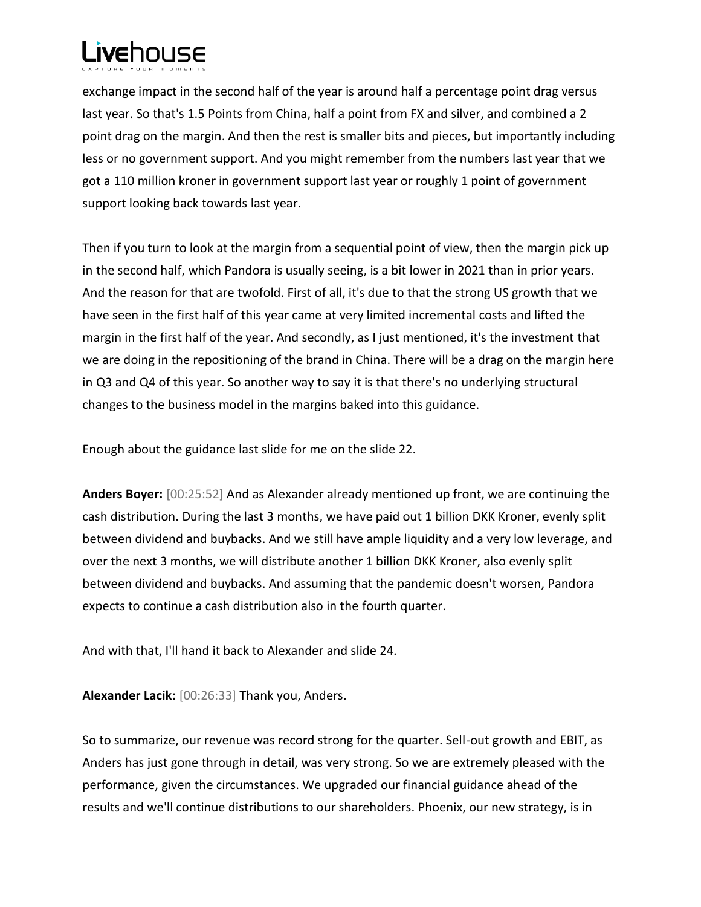

exchange impact in the second half of the year is around half a percentage point drag versus last year. So that's 1.5 Points from China, half a point from FX and silver, and combined a 2 point drag on the margin. And then the rest is smaller bits and pieces, but importantly including less or no government support. And you might remember from the numbers last year that we got a 110 million kroner in government support last year or roughly 1 point of government support looking back towards last year.

Then if you turn to look at the margin from a sequential point of view, then the margin pick up in the second half, which Pandora is usually seeing, is a bit lower in 2021 than in prior years. And the reason for that are twofold. First of all, it's due to that the strong US growth that we have seen in the first half of this year came at very limited incremental costs and lifted the margin in the first half of the year. And secondly, as I just mentioned, it's the investment that we are doing in the repositioning of the brand in China. There will be a drag on the margin here in Q3 and Q4 of this year. So another way to say it is that there's no underlying structural changes to the business model in the margins baked into this guidance.

Enough about the guidance last slide for me on the slide 22.

**Anders Boyer:** [00:25:52] And as Alexander already mentioned up front, we are continuing the cash distribution. During the last 3 months, we have paid out 1 billion DKK Kroner, evenly split between dividend and buybacks. And we still have ample liquidity and a very low leverage, and over the next 3 months, we will distribute another 1 billion DKK Kroner, also evenly split between dividend and buybacks. And assuming that the pandemic doesn't worsen, Pandora expects to continue a cash distribution also in the fourth quarter.

And with that, I'll hand it back to Alexander and slide 24.

**Alexander Lacik:** [00:26:33] Thank you, Anders.

So to summarize, our revenue was record strong for the quarter. Sell-out growth and EBIT, as Anders has just gone through in detail, was very strong. So we are extremely pleased with the performance, given the circumstances. We upgraded our financial guidance ahead of the results and we'll continue distributions to our shareholders. Phoenix, our new strategy, is in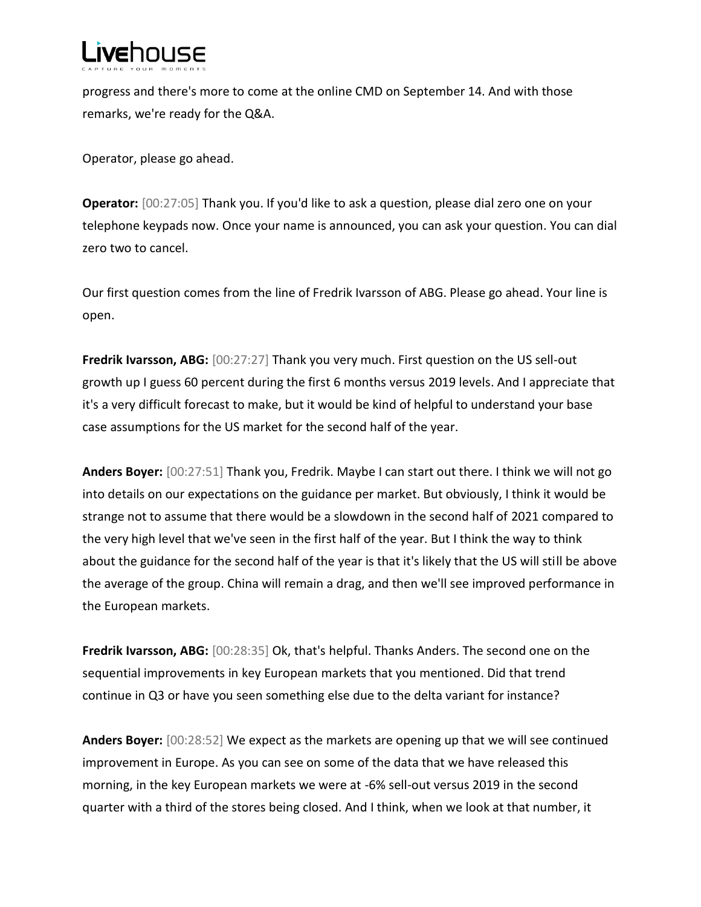

progress and there's more to come at the online CMD on September 14. And with those remarks, we're ready for the Q&A.

Operator, please go ahead.

**Operator:** [00:27:05] Thank you. If you'd like to ask a question, please dial zero one on your telephone keypads now. Once your name is announced, you can ask your question. You can dial zero two to cancel.

Our first question comes from the line of Fredrik Ivarsson of ABG. Please go ahead. Your line is open.

**Fredrik Ivarsson, ABG:** [00:27:27] Thank you very much. First question on the US sell-out growth up I guess 60 percent during the first 6 months versus 2019 levels. And I appreciate that it's a very difficult forecast to make, but it would be kind of helpful to understand your base case assumptions for the US market for the second half of the year.

**Anders Boyer:** [00:27:51] Thank you, Fredrik. Maybe I can start out there. I think we will not go into details on our expectations on the guidance per market. But obviously, I think it would be strange not to assume that there would be a slowdown in the second half of 2021 compared to the very high level that we've seen in the first half of the year. But I think the way to think about the guidance for the second half of the year is that it's likely that the US will still be above the average of the group. China will remain a drag, and then we'll see improved performance in the European markets.

**Fredrik Ivarsson, ABG:** [00:28:35] Ok, that's helpful. Thanks Anders. The second one on the sequential improvements in key European markets that you mentioned. Did that trend continue in Q3 or have you seen something else due to the delta variant for instance?

**Anders Boyer:** [00:28:52] We expect as the markets are opening up that we will see continued improvement in Europe. As you can see on some of the data that we have released this morning, in the key European markets we were at -6% sell-out versus 2019 in the second quarter with a third of the stores being closed. And I think, when we look at that number, it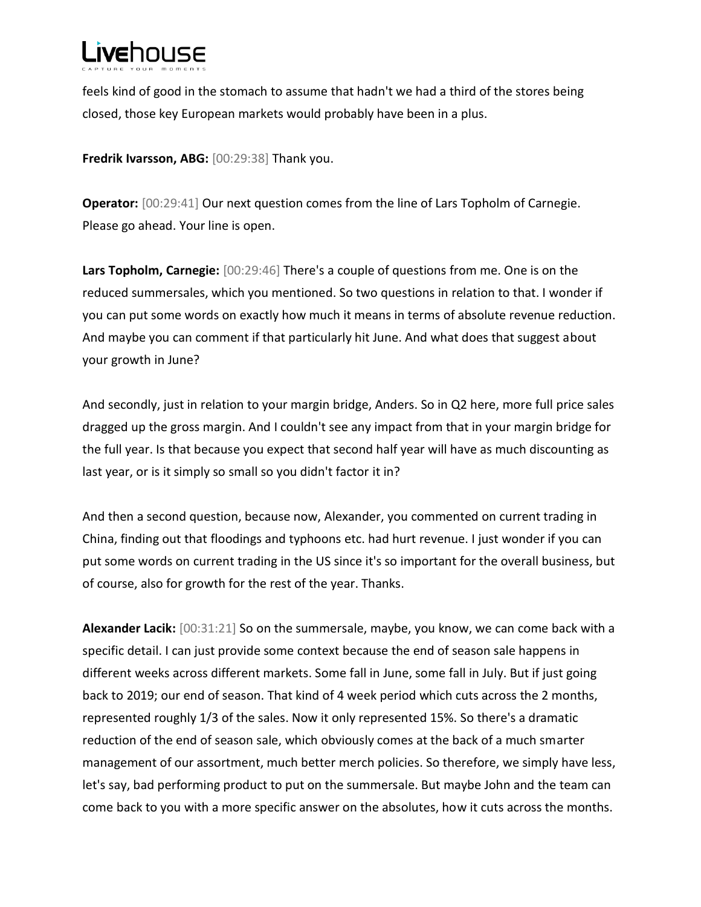feels kind of good in the stomach to assume that hadn't we had a third of the stores being closed, those key European markets would probably have been in a plus.

**Fredrik Ivarsson, ABG:** [00:29:38] Thank you.

**Operator:** [00:29:41] Our next question comes from the line of Lars Topholm of Carnegie. Please go ahead. Your line is open.

**Lars Topholm, Carnegie:** [00:29:46] There's a couple of questions from me. One is on the reduced summersales, which you mentioned. So two questions in relation to that. I wonder if you can put some words on exactly how much it means in terms of absolute revenue reduction. And maybe you can comment if that particularly hit June. And what does that suggest about your growth in June?

And secondly, just in relation to your margin bridge, Anders. So in Q2 here, more full price sales dragged up the gross margin. And I couldn't see any impact from that in your margin bridge for the full year. Is that because you expect that second half year will have as much discounting as last year, or is it simply so small so you didn't factor it in?

And then a second question, because now, Alexander, you commented on current trading in China, finding out that floodings and typhoons etc. had hurt revenue. I just wonder if you can put some words on current trading in the US since it's so important for the overall business, but of course, also for growth for the rest of the year. Thanks.

**Alexander Lacik:** [00:31:21] So on the summersale, maybe, you know, we can come back with a specific detail. I can just provide some context because the end of season sale happens in different weeks across different markets. Some fall in June, some fall in July. But if just going back to 2019; our end of season. That kind of 4 week period which cuts across the 2 months, represented roughly 1/3 of the sales. Now it only represented 15%. So there's a dramatic reduction of the end of season sale, which obviously comes at the back of a much smarter management of our assortment, much better merch policies. So therefore, we simply have less, let's say, bad performing product to put on the summersale. But maybe John and the team can come back to you with a more specific answer on the absolutes, how it cuts across the months.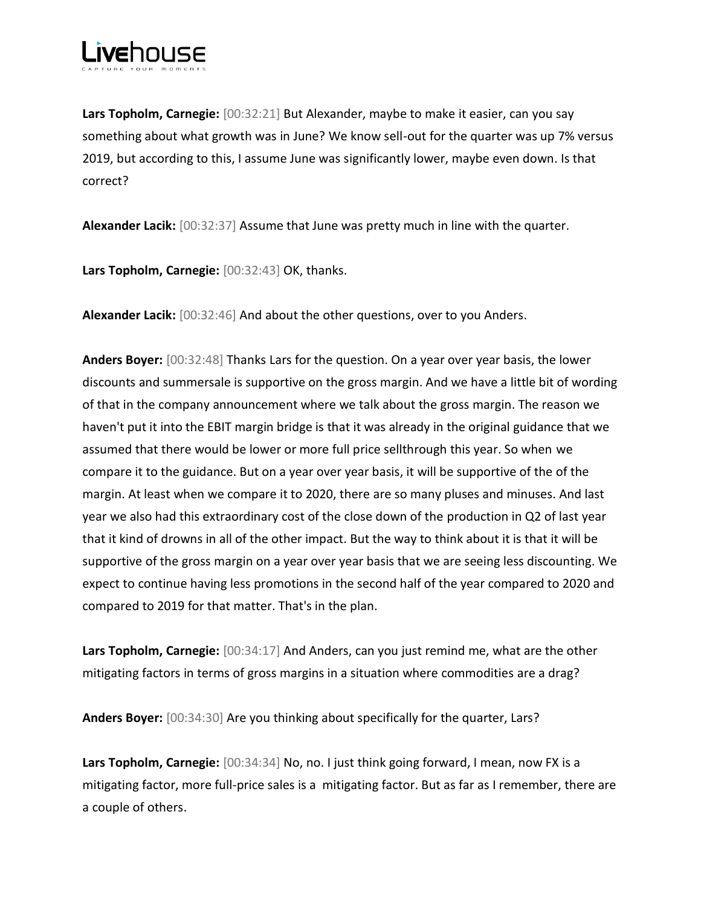

**Lars Topholm, Carnegie:** [00:32:21] But Alexander, maybe to make it easier, can you say something about what growth was in June? We know sell-out for the quarter was up 7% versus 2019, but according to this, I assume June was significantly lower, maybe even down. Is that correct?

**Alexander Lacik:** [00:32:37] Assume that June was pretty much in line with the quarter.

**Lars Topholm, Carnegie:** [00:32:43] OK, thanks.

**Alexander Lacik:** [00:32:46] And about the other questions, over to you Anders.

**Anders Boyer:** [00:32:48] Thanks Lars for the question. On a year over year basis, the lower discounts and summersale is supportive on the gross margin. And we have a little bit of wording of that in the company announcement where we talk about the gross margin. The reason we haven't put it into the EBIT margin bridge is that it was already in the original guidance that we assumed that there would be lower or more full price sellthrough this year. So when we compare it to the guidance. But on a year over year basis, it will be supportive of the of the margin. At least when we compare it to 2020, there are so many pluses and minuses. And last year we also had this extraordinary cost of the close down of the production in Q2 of last year that it kind of drowns in all of the other impact. But the way to think about it is that it will be supportive of the gross margin on a year over year basis that we are seeing less discounting. We expect to continue having less promotions in the second half of the year compared to 2020 and compared to 2019 for that matter. That's in the plan.

**Lars Topholm, Carnegie:** [00:34:17] And Anders, can you just remind me, what are the other mitigating factors in terms of gross margins in a situation where commodities are a drag?

**Anders Boyer:** [00:34:30] Are you thinking about specifically for the quarter, Lars?

**Lars Topholm, Carnegie:** [00:34:34] No, no. I just think going forward, I mean, now FX is a mitigating factor, more full-price sales is a mitigating factor. But as far as I remember, there are a couple of others.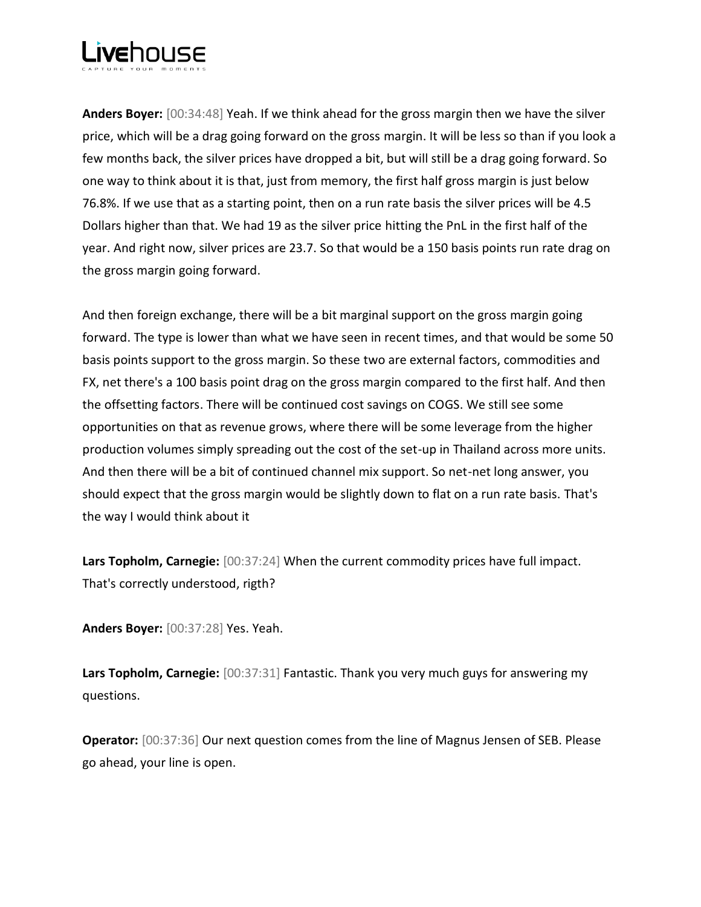**Anders Boyer:** [00:34:48] Yeah. If we think ahead for the gross margin then we have the silver price, which will be a drag going forward on the gross margin. It will be less so than if you look a few months back, the silver prices have dropped a bit, but will still be a drag going forward. So one way to think about it is that, just from memory, the first half gross margin is just below 76.8%. If we use that as a starting point, then on a run rate basis the silver prices will be 4.5 Dollars higher than that. We had 19 as the silver price hitting the PnL in the first half of the year. And right now, silver prices are 23.7. So that would be a 150 basis points run rate drag on the gross margin going forward.

And then foreign exchange, there will be a bit marginal support on the gross margin going forward. The type is lower than what we have seen in recent times, and that would be some 50 basis points support to the gross margin. So these two are external factors, commodities and FX, net there's a 100 basis point drag on the gross margin compared to the first half. And then the offsetting factors. There will be continued cost savings on COGS. We still see some opportunities on that as revenue grows, where there will be some leverage from the higher production volumes simply spreading out the cost of the set-up in Thailand across more units. And then there will be a bit of continued channel mix support. So net-net long answer, you should expect that the gross margin would be slightly down to flat on a run rate basis. That's the way I would think about it

**Lars Topholm, Carnegie:** [00:37:24] When the current commodity prices have full impact. That's correctly understood, rigth?

**Anders Boyer:** [00:37:28] Yes. Yeah.

**Lars Topholm, Carnegie:** [00:37:31] Fantastic. Thank you very much guys for answering my questions.

**Operator:** [00:37:36] Our next question comes from the line of Magnus Jensen of SEB. Please go ahead, your line is open.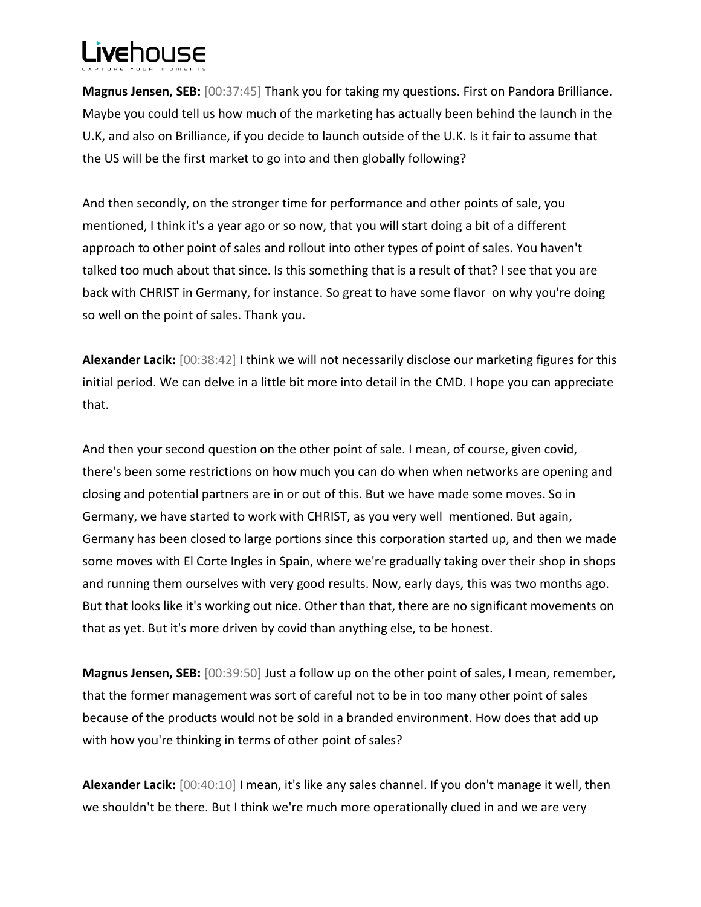**Magnus Jensen, SEB:** [00:37:45] Thank you for taking my questions. First on Pandora Brilliance. Maybe you could tell us how much of the marketing has actually been behind the launch in the U.K, and also on Brilliance, if you decide to launch outside of the U.K. Is it fair to assume that the US will be the first market to go into and then globally following?

And then secondly, on the stronger time for performance and other points of sale, you mentioned, I think it's a year ago or so now, that you will start doing a bit of a different approach to other point of sales and rollout into other types of point of sales. You haven't talked too much about that since. Is this something that is a result of that? I see that you are back with CHRIST in Germany, for instance. So great to have some flavor on why you're doing so well on the point of sales. Thank you.

**Alexander Lacik:** [00:38:42] I think we will not necessarily disclose our marketing figures for this initial period. We can delve in a little bit more into detail in the CMD. I hope you can appreciate that.

And then your second question on the other point of sale. I mean, of course, given covid, there's been some restrictions on how much you can do when when networks are opening and closing and potential partners are in or out of this. But we have made some moves. So in Germany, we have started to work with CHRIST, as you very well mentioned. But again, Germany has been closed to large portions since this corporation started up, and then we made some moves with El Corte Ingles in Spain, where we're gradually taking over their shop in shops and running them ourselves with very good results. Now, early days, this was two months ago. But that looks like it's working out nice. Other than that, there are no significant movements on that as yet. But it's more driven by covid than anything else, to be honest.

**Magnus Jensen, SEB:** [00:39:50] Just a follow up on the other point of sales, I mean, remember, that the former management was sort of careful not to be in too many other point of sales because of the products would not be sold in a branded environment. How does that add up with how you're thinking in terms of other point of sales?

**Alexander Lacik:** [00:40:10] I mean, it's like any sales channel. If you don't manage it well, then we shouldn't be there. But I think we're much more operationally clued in and we are very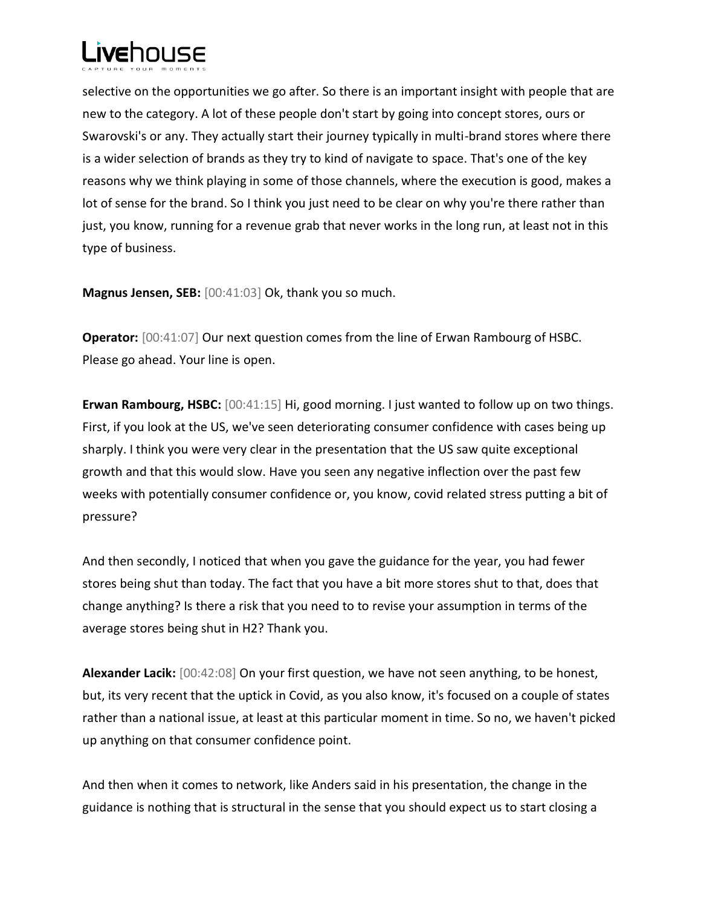

selective on the opportunities we go after. So there is an important insight with people that are new to the category. A lot of these people don't start by going into concept stores, ours or Swarovski's or any. They actually start their journey typically in multi-brand stores where there is a wider selection of brands as they try to kind of navigate to space. That's one of the key reasons why we think playing in some of those channels, where the execution is good, makes a lot of sense for the brand. So I think you just need to be clear on why you're there rather than just, you know, running for a revenue grab that never works in the long run, at least not in this type of business.

**Magnus Jensen, SEB:** [00:41:03] Ok, thank you so much.

**Operator:** [00:41:07] Our next question comes from the line of Erwan Rambourg of HSBC. Please go ahead. Your line is open.

**Erwan Rambourg, HSBC:** [00:41:15] Hi, good morning. I just wanted to follow up on two things. First, if you look at the US, we've seen deteriorating consumer confidence with cases being up sharply. I think you were very clear in the presentation that the US saw quite exceptional growth and that this would slow. Have you seen any negative inflection over the past few weeks with potentially consumer confidence or, you know, covid related stress putting a bit of pressure?

And then secondly, I noticed that when you gave the guidance for the year, you had fewer stores being shut than today. The fact that you have a bit more stores shut to that, does that change anything? Is there a risk that you need to to revise your assumption in terms of the average stores being shut in H2? Thank you.

**Alexander Lacik:** [00:42:08] On your first question, we have not seen anything, to be honest, but, its very recent that the uptick in Covid, as you also know, it's focused on a couple of states rather than a national issue, at least at this particular moment in time. So no, we haven't picked up anything on that consumer confidence point.

And then when it comes to network, like Anders said in his presentation, the change in the guidance is nothing that is structural in the sense that you should expect us to start closing a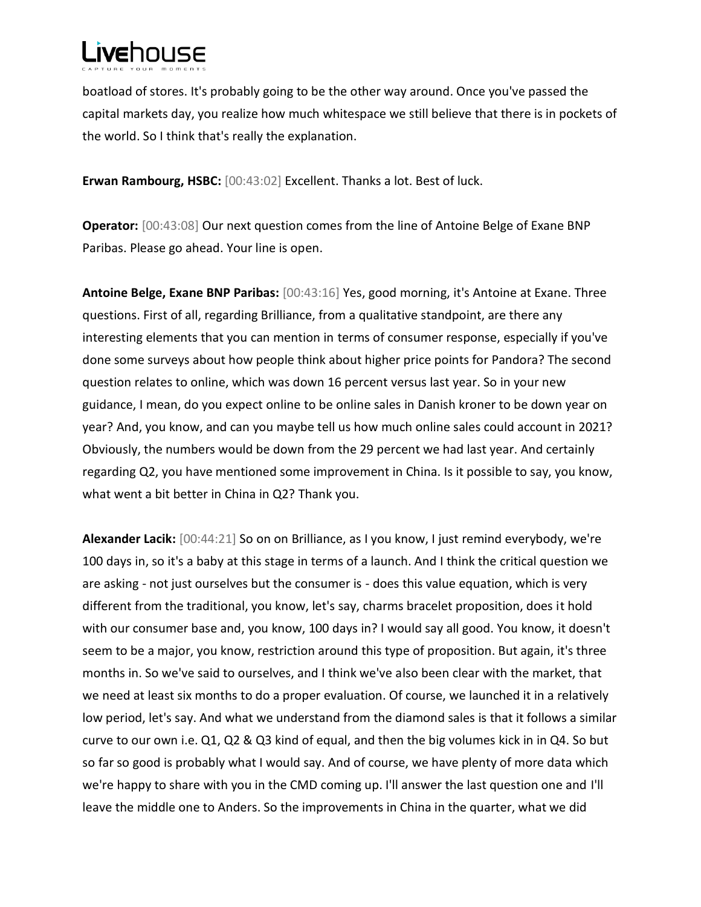boatload of stores. It's probably going to be the other way around. Once you've passed the capital markets day, you realize how much whitespace we still believe that there is in pockets of the world. So I think that's really the explanation.

**Erwan Rambourg, HSBC:** [00:43:02] Excellent. Thanks a lot. Best of luck.

**Operator:** [00:43:08] Our next question comes from the line of Antoine Belge of Exane BNP Paribas. Please go ahead. Your line is open.

**Antoine Belge, Exane BNP Paribas:** [00:43:16] Yes, good morning, it's Antoine at Exane. Three questions. First of all, regarding Brilliance, from a qualitative standpoint, are there any interesting elements that you can mention in terms of consumer response, especially if you've done some surveys about how people think about higher price points for Pandora? The second question relates to online, which was down 16 percent versus last year. So in your new guidance, I mean, do you expect online to be online sales in Danish kroner to be down year on year? And, you know, and can you maybe tell us how much online sales could account in 2021? Obviously, the numbers would be down from the 29 percent we had last year. And certainly regarding Q2, you have mentioned some improvement in China. Is it possible to say, you know, what went a bit better in China in Q2? Thank you.

**Alexander Lacik:** [00:44:21] So on on Brilliance, as I you know, I just remind everybody, we're 100 days in, so it's a baby at this stage in terms of a launch. And I think the critical question we are asking - not just ourselves but the consumer is - does this value equation, which is very different from the traditional, you know, let's say, charms bracelet proposition, does it hold with our consumer base and, you know, 100 days in? I would say all good. You know, it doesn't seem to be a major, you know, restriction around this type of proposition. But again, it's three months in. So we've said to ourselves, and I think we've also been clear with the market, that we need at least six months to do a proper evaluation. Of course, we launched it in a relatively low period, let's say. And what we understand from the diamond sales is that it follows a similar curve to our own i.e. Q1, Q2 & Q3 kind of equal, and then the big volumes kick in in Q4. So but so far so good is probably what I would say. And of course, we have plenty of more data which we're happy to share with you in the CMD coming up. I'll answer the last question one and I'll leave the middle one to Anders. So the improvements in China in the quarter, what we did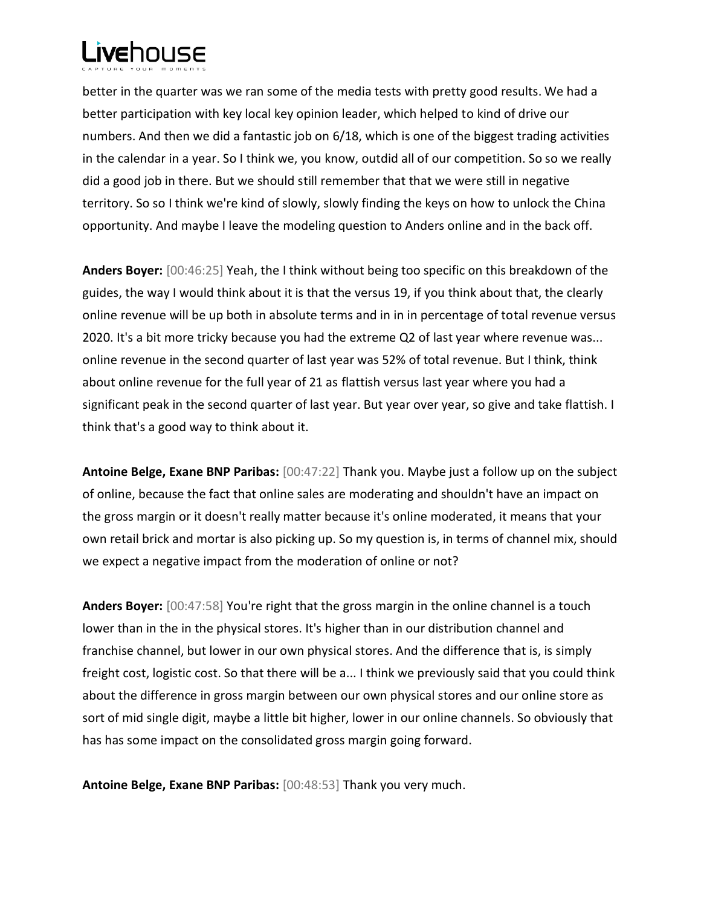better in the quarter was we ran some of the media tests with pretty good results. We had a better participation with key local key opinion leader, which helped to kind of drive our numbers. And then we did a fantastic job on 6/18, which is one of the biggest trading activities in the calendar in a year. So I think we, you know, outdid all of our competition. So so we really did a good job in there. But we should still remember that that we were still in negative territory. So so I think we're kind of slowly, slowly finding the keys on how to unlock the China opportunity. And maybe I leave the modeling question to Anders online and in the back off.

**Anders Boyer:** [00:46:25] Yeah, the I think without being too specific on this breakdown of the guides, the way I would think about it is that the versus 19, if you think about that, the clearly online revenue will be up both in absolute terms and in in in percentage of total revenue versus 2020. It's a bit more tricky because you had the extreme Q2 of last year where revenue was... online revenue in the second quarter of last year was 52% of total revenue. But I think, think about online revenue for the full year of 21 as flattish versus last year where you had a significant peak in the second quarter of last year. But year over year, so give and take flattish. I think that's a good way to think about it.

**Antoine Belge, Exane BNP Paribas:** [00:47:22] Thank you. Maybe just a follow up on the subject of online, because the fact that online sales are moderating and shouldn't have an impact on the gross margin or it doesn't really matter because it's online moderated, it means that your own retail brick and mortar is also picking up. So my question is, in terms of channel mix, should we expect a negative impact from the moderation of online or not?

**Anders Boyer:** [00:47:58] You're right that the gross margin in the online channel is a touch lower than in the in the physical stores. It's higher than in our distribution channel and franchise channel, but lower in our own physical stores. And the difference that is, is simply freight cost, logistic cost. So that there will be a... I think we previously said that you could think about the difference in gross margin between our own physical stores and our online store as sort of mid single digit, maybe a little bit higher, lower in our online channels. So obviously that has has some impact on the consolidated gross margin going forward.

**Antoine Belge, Exane BNP Paribas:** [00:48:53] Thank you very much.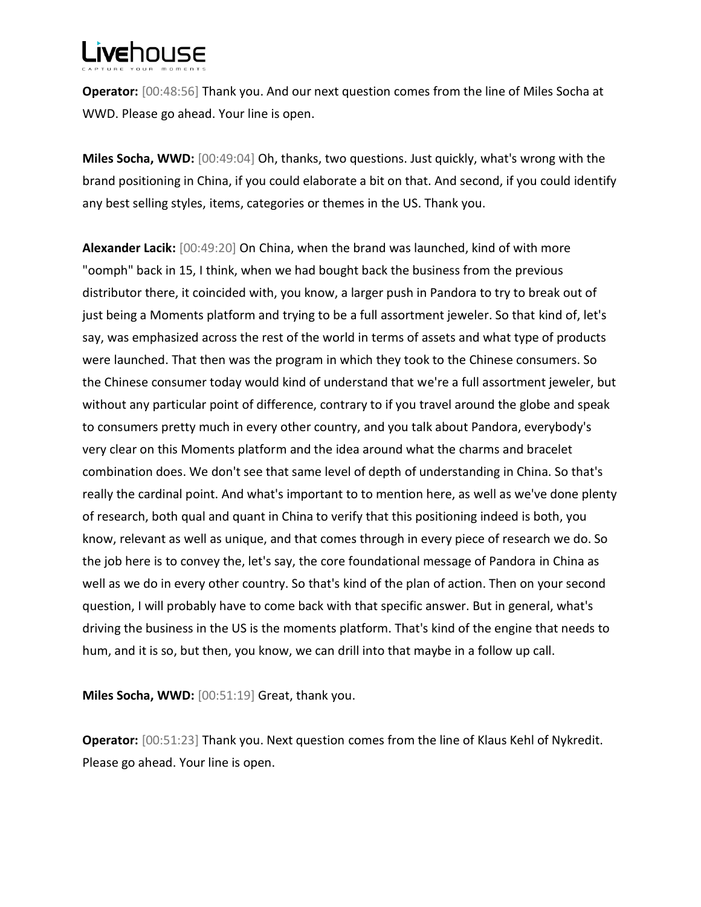**Operator:** [00:48:56] Thank you. And our next question comes from the line of Miles Socha at WWD. Please go ahead. Your line is open.

**Miles Socha, WWD:** [00:49:04] Oh, thanks, two questions. Just quickly, what's wrong with the brand positioning in China, if you could elaborate a bit on that. And second, if you could identify any best selling styles, items, categories or themes in the US. Thank you.

**Alexander Lacik:** [00:49:20] On China, when the brand was launched, kind of with more "oomph" back in 15, I think, when we had bought back the business from the previous distributor there, it coincided with, you know, a larger push in Pandora to try to break out of just being a Moments platform and trying to be a full assortment jeweler. So that kind of, let's say, was emphasized across the rest of the world in terms of assets and what type of products were launched. That then was the program in which they took to the Chinese consumers. So the Chinese consumer today would kind of understand that we're a full assortment jeweler, but without any particular point of difference, contrary to if you travel around the globe and speak to consumers pretty much in every other country, and you talk about Pandora, everybody's very clear on this Moments platform and the idea around what the charms and bracelet combination does. We don't see that same level of depth of understanding in China. So that's really the cardinal point. And what's important to to mention here, as well as we've done plenty of research, both qual and quant in China to verify that this positioning indeed is both, you know, relevant as well as unique, and that comes through in every piece of research we do. So the job here is to convey the, let's say, the core foundational message of Pandora in China as well as we do in every other country. So that's kind of the plan of action. Then on your second question, I will probably have to come back with that specific answer. But in general, what's driving the business in the US is the moments platform. That's kind of the engine that needs to hum, and it is so, but then, you know, we can drill into that maybe in a follow up call.

**Miles Socha, WWD:** [00:51:19] Great, thank you.

**Operator:** [00:51:23] Thank you. Next question comes from the line of Klaus Kehl of Nykredit. Please go ahead. Your line is open.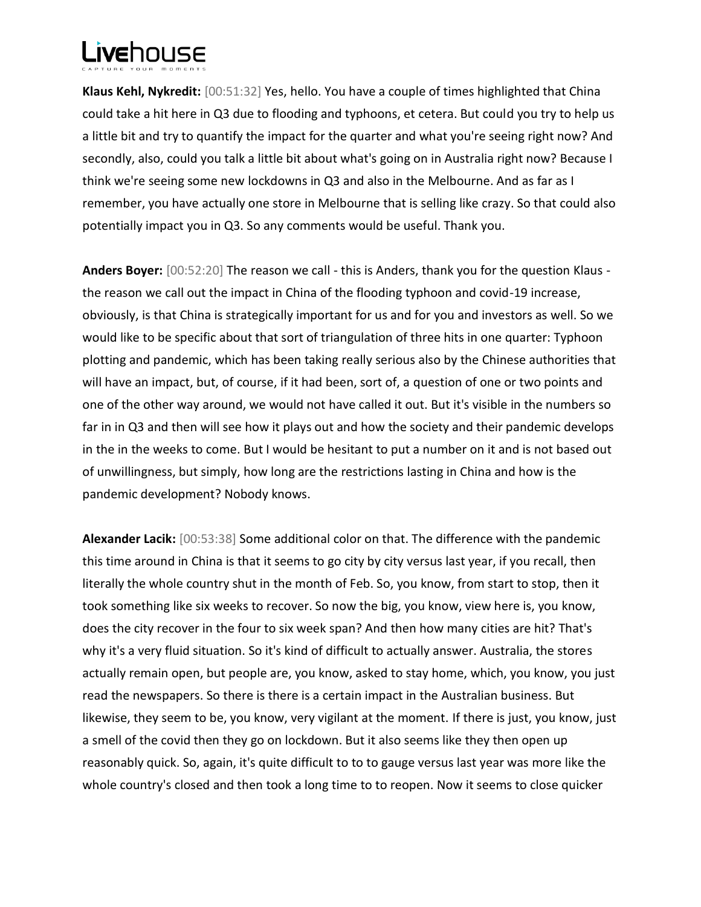**Klaus Kehl, Nykredit:** [00:51:32] Yes, hello. You have a couple of times highlighted that China could take a hit here in Q3 due to flooding and typhoons, et cetera. But could you try to help us a little bit and try to quantify the impact for the quarter and what you're seeing right now? And secondly, also, could you talk a little bit about what's going on in Australia right now? Because I think we're seeing some new lockdowns in Q3 and also in the Melbourne. And as far as I remember, you have actually one store in Melbourne that is selling like crazy. So that could also potentially impact you in Q3. So any comments would be useful. Thank you.

**Anders Boyer:** [00:52:20] The reason we call - this is Anders, thank you for the question Klaus the reason we call out the impact in China of the flooding typhoon and covid-19 increase, obviously, is that China is strategically important for us and for you and investors as well. So we would like to be specific about that sort of triangulation of three hits in one quarter: Typhoon plotting and pandemic, which has been taking really serious also by the Chinese authorities that will have an impact, but, of course, if it had been, sort of, a question of one or two points and one of the other way around, we would not have called it out. But it's visible in the numbers so far in in Q3 and then will see how it plays out and how the society and their pandemic develops in the in the weeks to come. But I would be hesitant to put a number on it and is not based out of unwillingness, but simply, how long are the restrictions lasting in China and how is the pandemic development? Nobody knows.

**Alexander Lacik:** [00:53:38] Some additional color on that. The difference with the pandemic this time around in China is that it seems to go city by city versus last year, if you recall, then literally the whole country shut in the month of Feb. So, you know, from start to stop, then it took something like six weeks to recover. So now the big, you know, view here is, you know, does the city recover in the four to six week span? And then how many cities are hit? That's why it's a very fluid situation. So it's kind of difficult to actually answer. Australia, the stores actually remain open, but people are, you know, asked to stay home, which, you know, you just read the newspapers. So there is there is a certain impact in the Australian business. But likewise, they seem to be, you know, very vigilant at the moment. If there is just, you know, just a smell of the covid then they go on lockdown. But it also seems like they then open up reasonably quick. So, again, it's quite difficult to to to gauge versus last year was more like the whole country's closed and then took a long time to to reopen. Now it seems to close quicker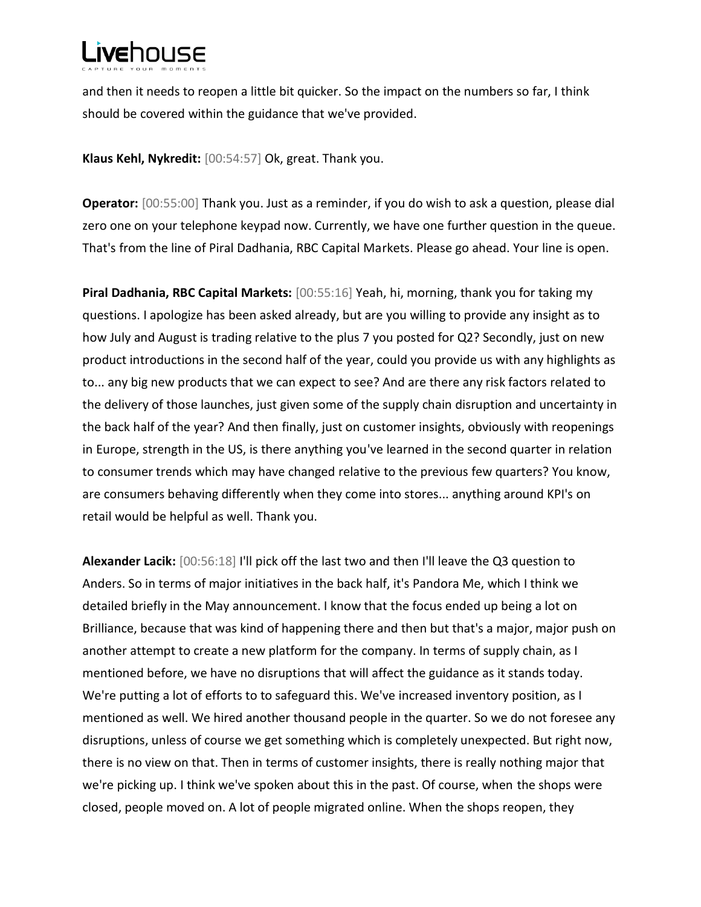and then it needs to reopen a little bit quicker. So the impact on the numbers so far, I think should be covered within the guidance that we've provided.

**Klaus Kehl, Nykredit:** [00:54:57] Ok, great. Thank you.

**Operator:** [00:55:00] Thank you. Just as a reminder, if you do wish to ask a question, please dial zero one on your telephone keypad now. Currently, we have one further question in the queue. That's from the line of Piral Dadhania, RBC Capital Markets. Please go ahead. Your line is open.

**Piral Dadhania, RBC Capital Markets:** [00:55:16] Yeah, hi, morning, thank you for taking my questions. I apologize has been asked already, but are you willing to provide any insight as to how July and August is trading relative to the plus 7 you posted for Q2? Secondly, just on new product introductions in the second half of the year, could you provide us with any highlights as to... any big new products that we can expect to see? And are there any risk factors related to the delivery of those launches, just given some of the supply chain disruption and uncertainty in the back half of the year? And then finally, just on customer insights, obviously with reopenings in Europe, strength in the US, is there anything you've learned in the second quarter in relation to consumer trends which may have changed relative to the previous few quarters? You know, are consumers behaving differently when they come into stores... anything around KPI's on retail would be helpful as well. Thank you.

**Alexander Lacik:** [00:56:18] I'll pick off the last two and then I'll leave the Q3 question to Anders. So in terms of major initiatives in the back half, it's Pandora Me, which I think we detailed briefly in the May announcement. I know that the focus ended up being a lot on Brilliance, because that was kind of happening there and then but that's a major, major push on another attempt to create a new platform for the company. In terms of supply chain, as I mentioned before, we have no disruptions that will affect the guidance as it stands today. We're putting a lot of efforts to to safeguard this. We've increased inventory position, as I mentioned as well. We hired another thousand people in the quarter. So we do not foresee any disruptions, unless of course we get something which is completely unexpected. But right now, there is no view on that. Then in terms of customer insights, there is really nothing major that we're picking up. I think we've spoken about this in the past. Of course, when the shops were closed, people moved on. A lot of people migrated online. When the shops reopen, they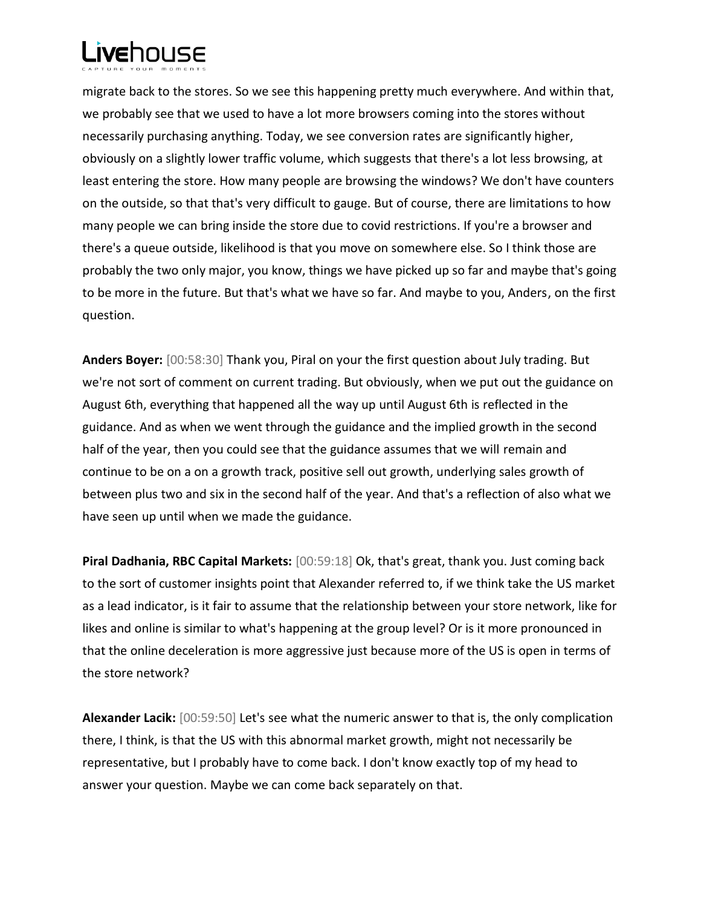

migrate back to the stores. So we see this happening pretty much everywhere. And within that, we probably see that we used to have a lot more browsers coming into the stores without necessarily purchasing anything. Today, we see conversion rates are significantly higher, obviously on a slightly lower traffic volume, which suggests that there's a lot less browsing, at least entering the store. How many people are browsing the windows? We don't have counters on the outside, so that that's very difficult to gauge. But of course, there are limitations to how many people we can bring inside the store due to covid restrictions. If you're a browser and there's a queue outside, likelihood is that you move on somewhere else. So I think those are probably the two only major, you know, things we have picked up so far and maybe that's going to be more in the future. But that's what we have so far. And maybe to you, Anders, on the first question.

**Anders Boyer:** [00:58:30] Thank you, Piral on your the first question about July trading. But we're not sort of comment on current trading. But obviously, when we put out the guidance on August 6th, everything that happened all the way up until August 6th is reflected in the guidance. And as when we went through the guidance and the implied growth in the second half of the year, then you could see that the guidance assumes that we will remain and continue to be on a on a growth track, positive sell out growth, underlying sales growth of between plus two and six in the second half of the year. And that's a reflection of also what we have seen up until when we made the guidance.

**Piral Dadhania, RBC Capital Markets:** [00:59:18] Ok, that's great, thank you. Just coming back to the sort of customer insights point that Alexander referred to, if we think take the US market as a lead indicator, is it fair to assume that the relationship between your store network, like for likes and online is similar to what's happening at the group level? Or is it more pronounced in that the online deceleration is more aggressive just because more of the US is open in terms of the store network?

**Alexander Lacik:** [00:59:50] Let's see what the numeric answer to that is, the only complication there, I think, is that the US with this abnormal market growth, might not necessarily be representative, but I probably have to come back. I don't know exactly top of my head to answer your question. Maybe we can come back separately on that.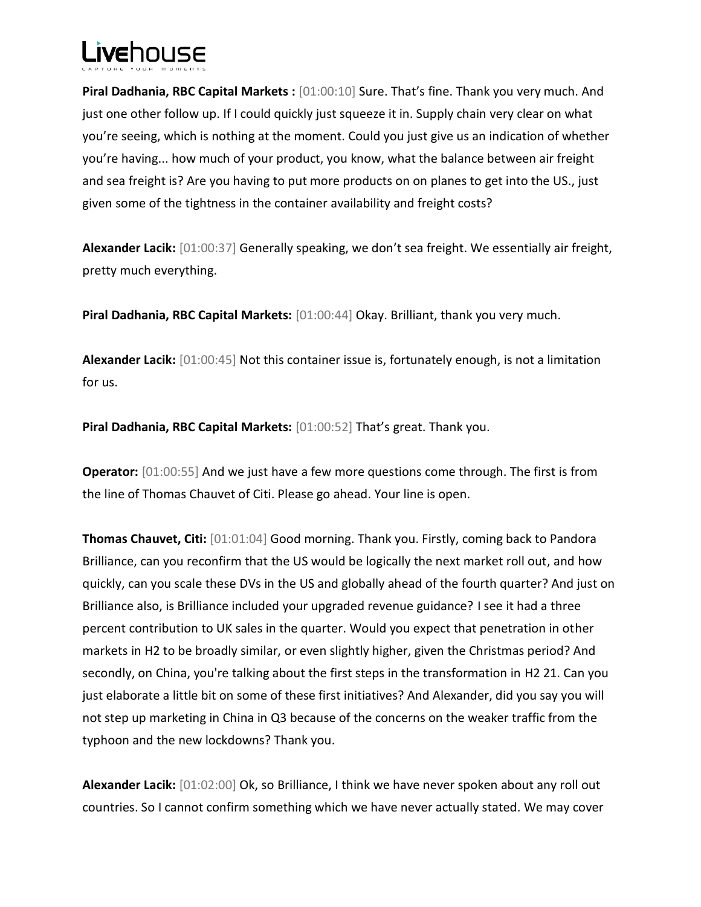## L**ive**hnuse

**Piral Dadhania, RBC Capital Markets :** [01:00:10] Sure. That's fine. Thank you very much. And just one other follow up. If I could quickly just squeeze it in. Supply chain very clear on what you're seeing, which is nothing at the moment. Could you just give us an indication of whether you're having... how much of your product, you know, what the balance between air freight and sea freight is? Are you having to put more products on on planes to get into the US., just given some of the tightness in the container availability and freight costs?

**Alexander Lacik:** [01:00:37] Generally speaking, we don't sea freight. We essentially air freight, pretty much everything.

**Piral Dadhania, RBC Capital Markets:** [01:00:44] Okay. Brilliant, thank you very much.

**Alexander Lacik:** [01:00:45] Not this container issue is, fortunately enough, is not a limitation for us.

**Piral Dadhania, RBC Capital Markets:** [01:00:52] That's great. Thank you.

**Operator:** [01:00:55] And we just have a few more questions come through. The first is from the line of Thomas Chauvet of Citi. Please go ahead. Your line is open.

**Thomas Chauvet, Citi:** [01:01:04] Good morning. Thank you. Firstly, coming back to Pandora Brilliance, can you reconfirm that the US would be logically the next market roll out, and how quickly, can you scale these DVs in the US and globally ahead of the fourth quarter? And just on Brilliance also, is Brilliance included your upgraded revenue guidance? I see it had a three percent contribution to UK sales in the quarter. Would you expect that penetration in other markets in H2 to be broadly similar, or even slightly higher, given the Christmas period? And secondly, on China, you're talking about the first steps in the transformation in H2 21. Can you just elaborate a little bit on some of these first initiatives? And Alexander, did you say you will not step up marketing in China in Q3 because of the concerns on the weaker traffic from the typhoon and the new lockdowns? Thank you.

**Alexander Lacik:** [01:02:00] Ok, so Brilliance, I think we have never spoken about any roll out countries. So I cannot confirm something which we have never actually stated. We may cover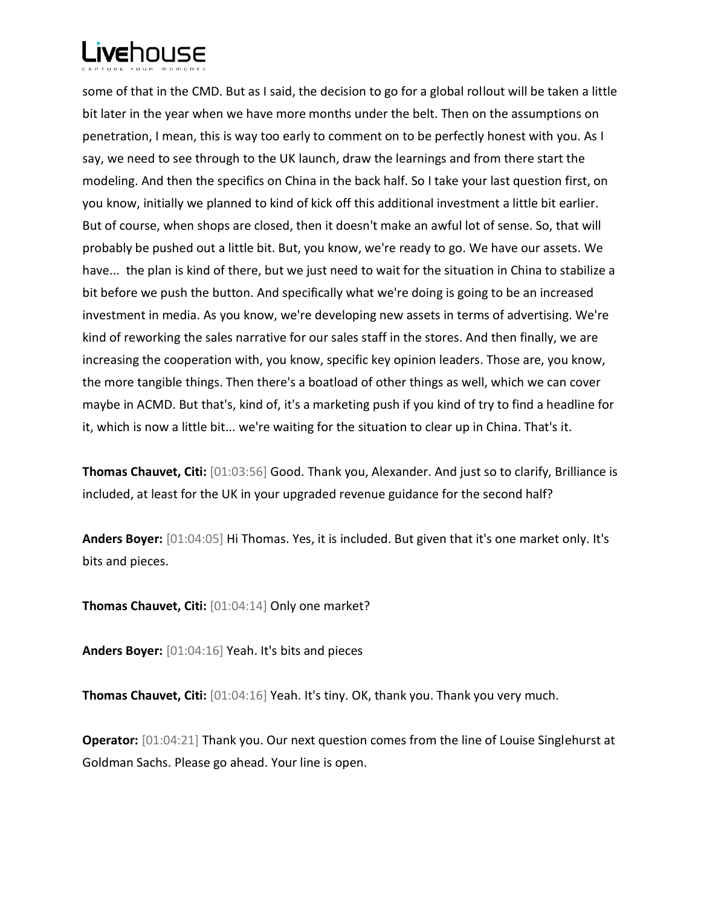some of that in the CMD. But as I said, the decision to go for a global rollout will be taken a little bit later in the year when we have more months under the belt. Then on the assumptions on penetration, I mean, this is way too early to comment on to be perfectly honest with you. As I say, we need to see through to the UK launch, draw the learnings and from there start the modeling. And then the specifics on China in the back half. So I take your last question first, on you know, initially we planned to kind of kick off this additional investment a little bit earlier. But of course, when shops are closed, then it doesn't make an awful lot of sense. So, that will probably be pushed out a little bit. But, you know, we're ready to go. We have our assets. We have... the plan is kind of there, but we just need to wait for the situation in China to stabilize a bit before we push the button. And specifically what we're doing is going to be an increased investment in media. As you know, we're developing new assets in terms of advertising. We're kind of reworking the sales narrative for our sales staff in the stores. And then finally, we are increasing the cooperation with, you know, specific key opinion leaders. Those are, you know, the more tangible things. Then there's a boatload of other things as well, which we can cover maybe in ACMD. But that's, kind of, it's a marketing push if you kind of try to find a headline for it, which is now a little bit... we're waiting for the situation to clear up in China. That's it.

**Thomas Chauvet, Citi:** [01:03:56] Good. Thank you, Alexander. And just so to clarify, Brilliance is included, at least for the UK in your upgraded revenue guidance for the second half?

**Anders Boyer:** [01:04:05] Hi Thomas. Yes, it is included. But given that it's one market only. It's bits and pieces.

**Thomas Chauvet, Citi:** [01:04:14] Only one market?

**Anders Boyer:** [01:04:16] Yeah. It's bits and pieces

**Thomas Chauvet, Citi:** [01:04:16] Yeah. It's tiny. OK, thank you. Thank you very much.

**Operator:** [01:04:21] Thank you. Our next question comes from the line of Louise Singlehurst at Goldman Sachs. Please go ahead. Your line is open.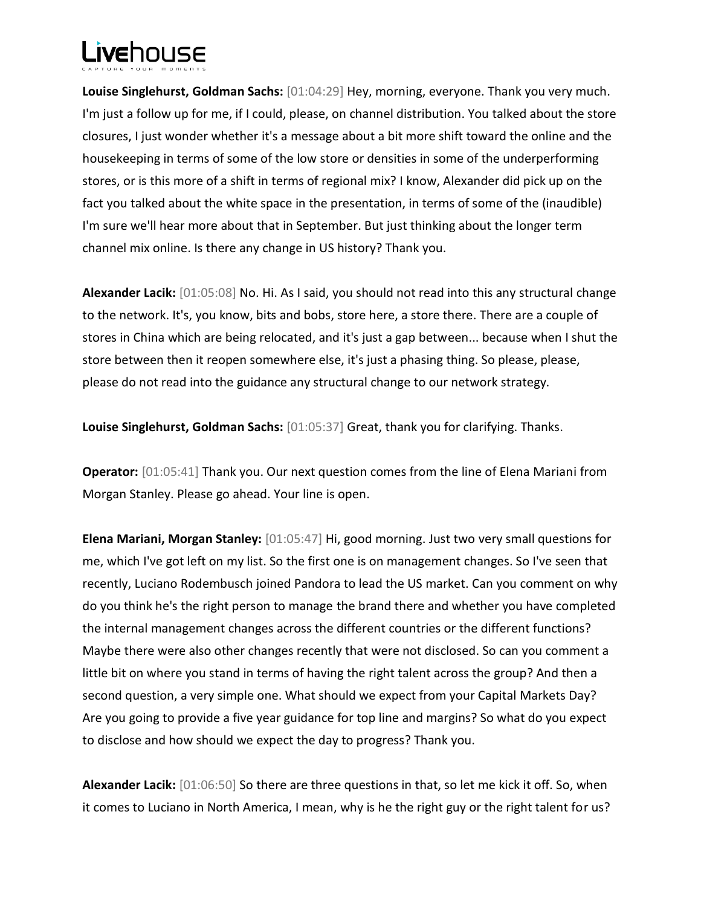**Louise Singlehurst, Goldman Sachs:** [01:04:29] Hey, morning, everyone. Thank you very much. I'm just a follow up for me, if I could, please, on channel distribution. You talked about the store closures, I just wonder whether it's a message about a bit more shift toward the online and the housekeeping in terms of some of the low store or densities in some of the underperforming stores, or is this more of a shift in terms of regional mix? I know, Alexander did pick up on the fact you talked about the white space in the presentation, in terms of some of the (inaudible) I'm sure we'll hear more about that in September. But just thinking about the longer term channel mix online. Is there any change in US history? Thank you.

**Alexander Lacik:** [01:05:08] No. Hi. As I said, you should not read into this any structural change to the network. It's, you know, bits and bobs, store here, a store there. There are a couple of stores in China which are being relocated, and it's just a gap between... because when I shut the store between then it reopen somewhere else, it's just a phasing thing. So please, please, please do not read into the guidance any structural change to our network strategy.

**Louise Singlehurst, Goldman Sachs:** [01:05:37] Great, thank you for clarifying. Thanks.

**Operator:** [01:05:41] Thank you. Our next question comes from the line of Elena Mariani from Morgan Stanley. Please go ahead. Your line is open.

**Elena Mariani, Morgan Stanley:** [01:05:47] Hi, good morning. Just two very small questions for me, which I've got left on my list. So the first one is on management changes. So I've seen that recently, Luciano Rodembusch joined Pandora to lead the US market. Can you comment on why do you think he's the right person to manage the brand there and whether you have completed the internal management changes across the different countries or the different functions? Maybe there were also other changes recently that were not disclosed. So can you comment a little bit on where you stand in terms of having the right talent across the group? And then a second question, a very simple one. What should we expect from your Capital Markets Day? Are you going to provide a five year guidance for top line and margins? So what do you expect to disclose and how should we expect the day to progress? Thank you.

**Alexander Lacik:** [01:06:50] So there are three questions in that, so let me kick it off. So, when it comes to Luciano in North America, I mean, why is he the right guy or the right talent for us?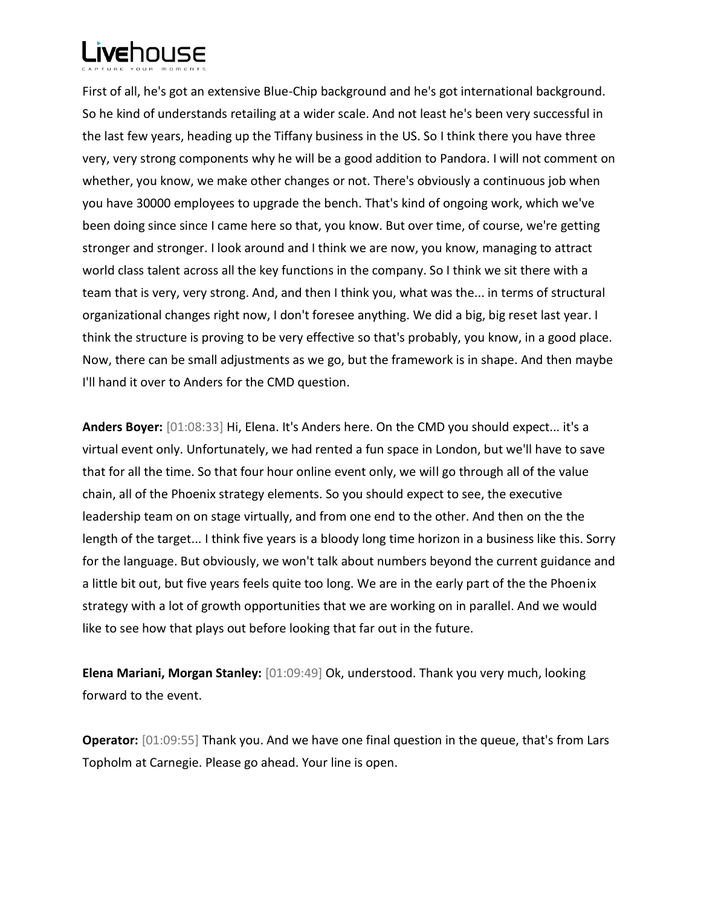First of all, he's got an extensive Blue-Chip background and he's got international background. So he kind of understands retailing at a wider scale. And not least he's been very successful in the last few years, heading up the Tiffany business in the US. So I think there you have three very, very strong components why he will be a good addition to Pandora. I will not comment on whether, you know, we make other changes or not. There's obviously a continuous job when you have 30000 employees to upgrade the bench. That's kind of ongoing work, which we've been doing since since I came here so that, you know. But over time, of course, we're getting stronger and stronger. I look around and I think we are now, you know, managing to attract world class talent across all the key functions in the company. So I think we sit there with a team that is very, very strong. And, and then I think you, what was the... in terms of structural organizational changes right now, I don't foresee anything. We did a big, big reset last year. I think the structure is proving to be very effective so that's probably, you know, in a good place. Now, there can be small adjustments as we go, but the framework is in shape. And then maybe I'll hand it over to Anders for the CMD question.

**Anders Boyer:** [01:08:33] Hi, Elena. It's Anders here. On the CMD you should expect... it's a virtual event only. Unfortunately, we had rented a fun space in London, but we'll have to save that for all the time. So that four hour online event only, we will go through all of the value chain, all of the Phoenix strategy elements. So you should expect to see, the executive leadership team on on stage virtually, and from one end to the other. And then on the the length of the target... I think five years is a bloody long time horizon in a business like this. Sorry for the language. But obviously, we won't talk about numbers beyond the current guidance and a little bit out, but five years feels quite too long. We are in the early part of the the Phoenix strategy with a lot of growth opportunities that we are working on in parallel. And we would like to see how that plays out before looking that far out in the future.

**Elena Mariani, Morgan Stanley:** [01:09:49] Ok, understood. Thank you very much, looking forward to the event.

**Operator:** [01:09:55] Thank you. And we have one final question in the queue, that's from Lars Topholm at Carnegie. Please go ahead. Your line is open.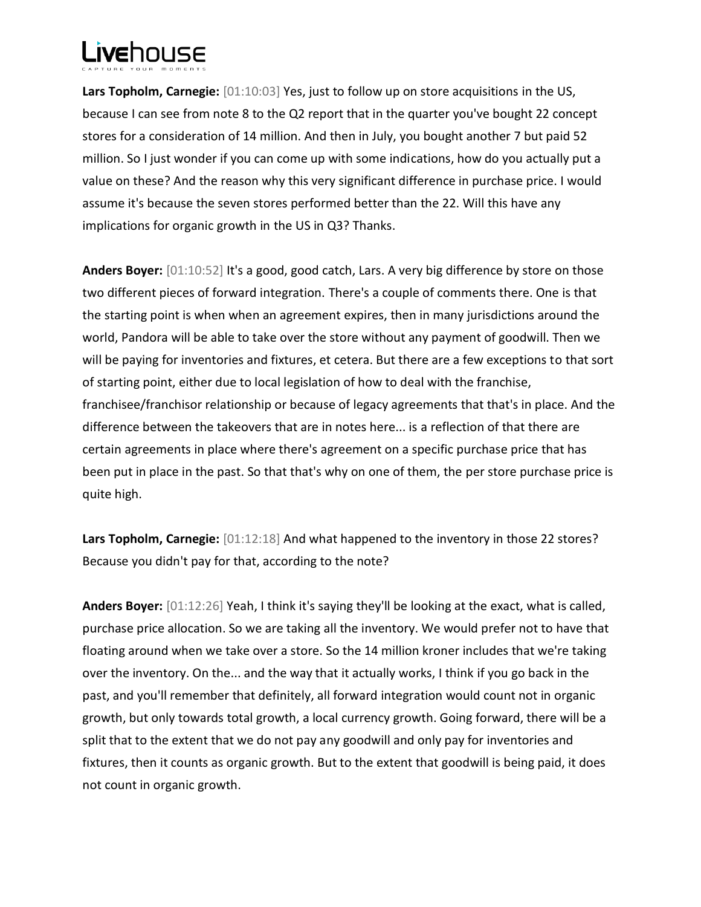**Lars Topholm, Carnegie:** [01:10:03] Yes, just to follow up on store acquisitions in the US, because I can see from note 8 to the Q2 report that in the quarter you've bought 22 concept stores for a consideration of 14 million. And then in July, you bought another 7 but paid 52 million. So I just wonder if you can come up with some indications, how do you actually put a value on these? And the reason why this very significant difference in purchase price. I would assume it's because the seven stores performed better than the 22. Will this have any implications for organic growth in the US in Q3? Thanks.

**Anders Boyer:** [01:10:52] It's a good, good catch, Lars. A very big difference by store on those two different pieces of forward integration. There's a couple of comments there. One is that the starting point is when when an agreement expires, then in many jurisdictions around the world, Pandora will be able to take over the store without any payment of goodwill. Then we will be paying for inventories and fixtures, et cetera. But there are a few exceptions to that sort of starting point, either due to local legislation of how to deal with the franchise, franchisee/franchisor relationship or because of legacy agreements that that's in place. And the difference between the takeovers that are in notes here... is a reflection of that there are certain agreements in place where there's agreement on a specific purchase price that has been put in place in the past. So that that's why on one of them, the per store purchase price is quite high.

Lars Topholm, Carnegie:  $[01:12:18]$  And what happened to the inventory in those 22 stores? Because you didn't pay for that, according to the note?

**Anders Boyer:** [01:12:26] Yeah, I think it's saying they'll be looking at the exact, what is called, purchase price allocation. So we are taking all the inventory. We would prefer not to have that floating around when we take over a store. So the 14 million kroner includes that we're taking over the inventory. On the... and the way that it actually works, I think if you go back in the past, and you'll remember that definitely, all forward integration would count not in organic growth, but only towards total growth, a local currency growth. Going forward, there will be a split that to the extent that we do not pay any goodwill and only pay for inventories and fixtures, then it counts as organic growth. But to the extent that goodwill is being paid, it does not count in organic growth.